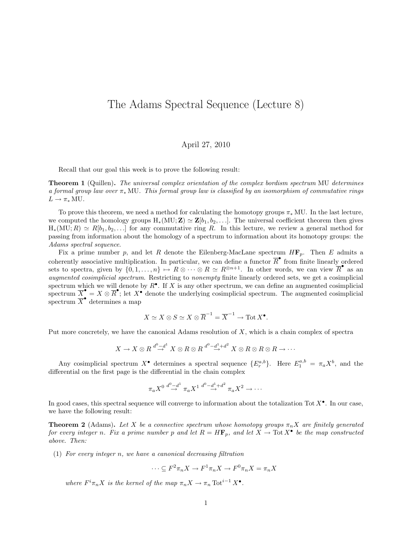## The Adams Spectral Sequence (Lecture 8)

## April 27, 2010

Recall that our goal this week is to prove the following result:

**Theorem 1** (Quillen). The universal complex orientation of the complex bordism spectrum MU determines a formal group law over  $\pi_*$  MU. This formal group law is classified by an isomorphism of commutative rings  $L \to \pi_* MU$ .

To prove this theorem, we need a method for calculating the homotopy groups  $\pi_*$  MU. In the last lecture, we computed the homology groups  $H_*(MU; Z) \simeq Z[b_1, b_2, \ldots]$ . The universal coefficient theorem then gives  $H_*(MU; R) \simeq R[b_1, b_2, \ldots]$  for any commutative ring R. In this lecture, we review a general method for passing from information about the homology of a spectrum to information about its homotopy groups: the Adams spectral sequence.

Fix a prime number p, and let R denote the Eilenberg-MacLane spectrum  $H\mathbf{F}_p$ . Then E admits a coherently associative multiplication. In particular, we can define a functor  $\overline{R}^{\bullet}$  from finite linearly ordered sets to spectra, given by  $\{0, 1, \ldots, n\} \mapsto R \otimes \cdots \otimes R \simeq R^{\otimes n+1}$ . In other words, we can view  $\overline{R}^{\bullet}$  as an augmented cosimplicial spectrum. Restricting to nonempty finite linearly ordered sets, we get a cosimplicial spectrum which we will denote by  $R^{\bullet}$ . If X is any other spectrum, we can define an augmented cosimplicial spectrum  $\overline{X}^{\bullet} = X \otimes \overline{R}^{\bullet}$ ; let  $X^{\bullet}$  denote the underlying cosimplicial spectrum. The augmented cosimplicial spectrum  $\overline{X}^{\bullet}$  determines a map

$$
X \simeq X \otimes S \simeq X \otimes \overline{R}^{-1} = \overline{X}^{-1} \to \text{Tot } X^{\bullet}.
$$

Put more concretely, we have the canonical Adams resolution of X, which is a chain complex of spectra

$$
X \to X \otimes R \stackrel{d^0 - d^1}{\to} X \otimes R \otimes R \stackrel{d^0 - d^1 + d^2}{\to} X \otimes R \otimes R \otimes R \to \cdots
$$

Any cosimplicial spectrum  $X^{\bullet}$  determines a spectral sequence  $\{E^{a,b}_r\}$ . Here  $E^{a,b}_1 = \pi_a X^b$ , and the differential on the first page is the differential in the chain complex

$$
\pi_a X^0 \stackrel{d^0 - d^1}{\rightarrow} \pi_a X^1 \stackrel{d^0 - d^1 + d^2}{\rightarrow} \pi_a X^2 \rightarrow \cdots
$$

In good cases, this spectral sequence will converge to information about the totalization Tot  $X^{\bullet}$ . In our case, we have the following result:

**Theorem 2** (Adams). Let X be a connective spectrum whose homotopy groups  $\pi_n X$  are finitely generated for every integer n. Fix a prime number p and let  $R = H\mathbf{F}_p$ , and let  $X \to \text{Tot } X^{\bullet}$  be the map constructed above. Then:

(1) For every integer n, we have a canonical decreasing filtration

 $\cdots \subseteq F^2 \pi_n X \to F^1 \pi_n X \to F^0 \pi_n X = \pi_n X$ 

where  $F^i \pi_n X$  is the kernel of the map  $\pi_n X \to \pi_n \mathrm{Tot}^{i-1} X^{\bullet}$ .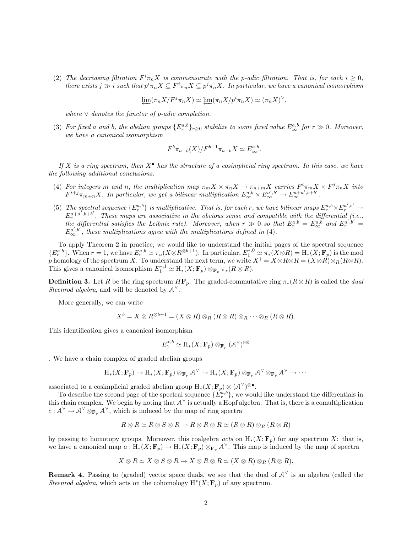(2) The decreasing filtration  $F^i \pi_n X$  is commensurate with the p-adic filtration. That is, for each  $i \geq 0$ , there exists  $j \gg i$  such that  $p^i \pi_n X \subseteq F^j \pi_n X \subseteq p^j \pi_n X$ . In particular, we have a canonical isomorphism

$$
\varprojlim(\pi_n X/F^j \pi_n X) \simeq \varprojlim(\pi_n X/p^i \pi_n X) \simeq (\pi_n X)^{\vee},
$$

where  $\vee$  denotes the functor of p-adic completion.

(3) For fixed a and b, the abelian groups  $\{E_r^{a,b}\}_{r\geq 0}$  stabilize to some fixed value  $E_\infty^{a,b}$  for  $r \gg 0$ . Moreover, we have a canonical isomorphism

$$
F^b \pi_{a-b}(X)/F^{b+1} \pi_{a-b} X \simeq E^{a,b}_{\infty}.
$$

If X is a ring spectrum, then  $X^{\bullet}$  has the structure of a cosimplicial ring spectrum. In this case, we have the following additional conclusions:

- (4) For integers m and n, the multiplication map  $\pi_m X \times \pi_n X \to \pi_{n+m} X$  carries  $F^i \pi_m X \times F^j \pi_n X$  into  $F^{i+j}\pi_{m+n}X$ . In particular, we get a bilinear multiplication  $E^{a,b}_{\infty}\times E^{a',b'}_{\infty} \to E^{a+a',b+b'}_{\infty}$ .
- (5) The spectral sequence  $\{E_r^{a,b}\}\;$  is multiplicative. That is, for each r, we have bilinear maps  $E_r^{a,b}\times E_r^{a',b'}$   $\rightarrow$  $E_r^{a+a',b+b'}$ . These maps are associative in the obvious sense and compatible with the differential (i.e., the differential satisfies the Leibniz rule). Moreover, when  $r \gg 0$  so that  $E_r^{a,b} = E_\infty^{a,b}$  and  $E_r^{a',b'} = E_\infty^{a',b'}$  $E_{\infty}^{a',b'}$ , these multiplications agree with the multiplications defined in (4).

To apply Theorem 2 in practice, we would like to understand the initial pages of the spectral sequence  ${E_r^{a,b}}$ . When  $r = 1$ , we have  $E_r^{a,b} \simeq \pi_a(X \otimes R^{\otimes b+1})$ . In particular,  $E_1^{*,0} \simeq \pi_*(X \otimes R) = H_*(X; \mathbf{F}_p)$  is the mod p homology of the spectrum X. To understand the next term, we write  $X^1 = X \otimes R \otimes R = (X \otimes R) \otimes_R (R \otimes R)$ . This gives a canonical isomorphism  $E_1^{*,1} \simeq H_*(X; \mathbf{F}_p) \otimes_{\mathbf{F}_p} \pi_*(R \otimes R)$ .

**Definition 3.** Let R be the ring spectrum  $H\mathbf{F}_p$ . The graded-commutative ring  $\pi_*(R \otimes R)$  is called the *dual* Steenrod algebra, and will be denoted by  $A^{\vee}$ .

More generally, we can write

$$
X^b = X \otimes R^{\otimes b+1} = (X \otimes R) \otimes_R (R \otimes R) \otimes_R \cdots \otimes_R (R \otimes R).
$$

This identification gives a canonical isomorphism

$$
E_1^{*,b} \simeq \mathrm{H}_*(X;\mathbf{F}_p) \otimes_{\mathbf{F}_p} (\mathcal{A}^{\vee})^{\otimes b}
$$

. We have a chain complex of graded abelian groups

$$
\mathrm{H}_*(X;\mathbf{F}_p) \to \mathrm{H}_*(X;\mathbf{F}_p) \otimes_{\mathbf{F}_p} \mathcal{A}^{\vee} \to \mathrm{H}_*(X;\mathbf{F}_p) \otimes_{\mathbf{F}_p} \mathcal{A}^{\vee} \otimes_{\mathbf{F}_p} \mathcal{A}^{\vee} \to \cdots
$$

associated to a cosimplicial graded abelian group  $H_*(X; \mathbf{F}_p) \otimes (A^{\vee})^{\otimes \bullet}$ .

To describe the second page of the spectral sequence  $\{E_r^{a,b}\},$  we would like understand the differentials in this chain complex. We begin by noting that  $A^{\vee}$  is actually a Hopf algebra. That is, there is a comultiplication  $c: \mathcal{A}^{\vee} \to \mathcal{A}^{\vee} \otimes_{\mathbf{F}_p} \mathcal{A}^{\vee}$ , which is induced by the map of ring spectra

$$
R \otimes R \simeq R \otimes S \otimes R \to R \otimes R \otimes R \simeq (R \otimes R) \otimes_R (R \otimes R)
$$

by passing to homotopy groups. Moreover, this coalgebra acts on  $H_*(X; \mathbf{F}_p)$  for any spectrum X: that is, we have a canonical map  $a: H_*(X; \mathbf{F}_p) \to H_*(X; \mathbf{F}_p) \otimes_{\mathbf{F}_p} A^{\vee}$ . This map is induced by the map of spectra

$$
X \otimes R \simeq X \otimes S \otimes R \to X \otimes R \otimes R \simeq (X \otimes R) \otimes_R (R \otimes R).
$$

**Remark 4.** Passing to (graded) vector space duals, we see that the dual of  $A^{\vee}$  is an algebra (called the Steenrod algebra, which acts on the cohomology  $H^*(X; \mathbf{F}_p)$  of any spectrum.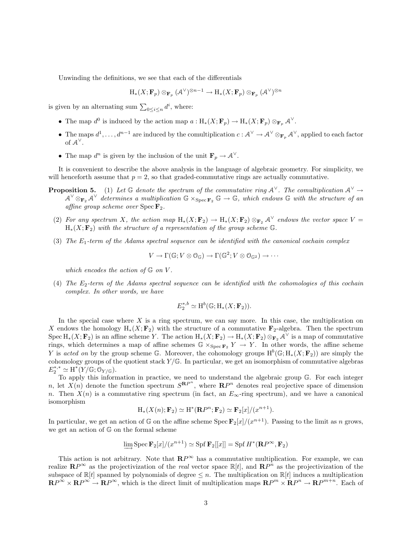Unwinding the definitions, we see that each of the differentials

$$
\mathrm{H}_*(X;\mathbf{F}_p) \otimes_{\mathbf{F}_p} (\mathcal{A}^{\vee})^{\otimes n-1} \to \mathrm{H}_*(X;\mathbf{F}_p) \otimes_{\mathbf{F}_p} (\mathcal{A}^{\vee})^{\otimes n}
$$

is given by an alternating sum  $\sum_{0 \leq i \leq n} d^i$ , where:

- The map  $d^0$  is induced by the action map  $a: \mathrm{H}_*(X; \mathbf{F}_p) \to \mathrm{H}_*(X; \mathbf{F}_p) \otimes_{\mathbf{F}_p} \mathcal{A}^{\vee}$ .
- The maps  $d^1, \ldots, d^{n-1}$  are induced by the comultiplication  $c: \mathcal{A}^{\vee} \to \mathcal{A}^{\vee} \otimes_{\mathbf{F}_p} \mathcal{A}^{\vee}$ , applied to each factor of  $A^{\vee}$ .
- The map  $d^n$  is given by the inclusion of the unit  $\mathbf{F}_p \to \mathcal{A}^{\vee}$ .

It is convenient to describe the above analysis in the language of algebraic geometry. For simplicity, we will henceforth assume that  $p = 2$ , so that graded-commutative rings are actually commutative.

- **Proposition 5.** (1) Let  $\mathbb G$  denote the spectrum of the commutative ring  $\mathcal A^\vee$ . The comultiplication  $\mathcal A^\vee$   $\rightarrow$  $A^{\vee} \otimes_{\mathbf{F}_2} A^{\vee}$  determines a multiplication  $\mathbb{G} \times_{\text{Spec } \mathbf{F}_2} \mathbb{G} \to \mathbb{G}$ , which endows  $\mathbb{G}$  with the structure of an affine group scheme over  $Spec \, \mathbf{F}_2$ .
	- (2) For any spectrum X, the action map  $H_*(X; \mathbf{F}_2) \to H_*(X; \mathbf{F}_2) \otimes_{\mathbf{F}_2} \mathcal{A}^{\vee}$  endows the vector space  $V =$  $H_*(X; \mathbf{F}_2)$  with the structure of a representation of the group scheme G.
	- (3) The  $E_1$ -term of the Adams spectral sequence can be identified with the canonical cochain complex

$$
V \to \Gamma(\mathbb{G}; V \otimes \mathcal{O}_{\mathbb{G}}) \to \Gamma(\mathbb{G}^2; V \otimes \mathcal{O}_{\mathbb{G}^2}) \to \cdots
$$

which encodes the action of  $\mathbb G$  on  $V$ .

(4) The  $E_2$ -term of the Adams spectral sequence can be identified with the cohomologies of this cochain complex. In other words, we have

$$
E_2^{*,b} \simeq \mathrm{H}^b(\mathbb{G}; \mathrm{H}_*(X; \mathbf{F}_2)).
$$

In the special case where  $X$  is a ring spectrum, we can say more. In this case, the multiplication on X endows the homology  $H_*(X; \mathbf{F}_2)$  with the structure of a commutative  $\mathbf{F}_2$ -algebra. Then the spectrum  $Spec H_*(X; \mathbf{F}_2)$  is an affine scheme Y. The action  $H_*(X; \mathbf{F}_2) \to H_*(X; \mathbf{F}_2) \otimes_{\mathbf{F}_2} \mathcal{A}^{\vee}$  is a map of commutative rings, which determines a map of affine schemes  $\mathbb{G} \times_{\text{Spec } \mathbf{F}_2} Y \to Y$ . In other words, the affine scheme Y is acted on by the group scheme G. Moreover, the cohomology groups  $H^b(\mathbb{G}; H_*(X; \mathbf{F}_2))$  are simply the cohomology groups of the quotient stack  $Y/\mathbb{G}$ . In particular, we get an isomorphism of commutative algebras  $E_2^{*,*} \simeq \operatorname{H}^*(Y/\mathbb{G};\mathbb{O}_{Y/\mathbb{G}}).$ 

To apply this information in practice, we need to understand the algebraic group G. For each integer n, let  $X(n)$  denote the function spectrum  $S^{\mathbf{R}P^n}$ , where  $\mathbf{R}P^n$  denotes real projective space of dimension n. Then  $X(n)$  is a commutative ring spectrum (in fact, an  $E_{\infty}$ -ring spectrum), and we have a canonical isomorphism

$$
\mathrm{H}_*(X(n); \mathbf{F}_2) \simeq \mathrm{H}^*(\mathbf{R}P^n; \mathbf{F}_2) \simeq \mathbf{F}_2[x]/(x^{n+1}).
$$

In particular, we get an action of G on the affine scheme  $Spec \mathbf{F}_2[x]/(x^{n+1})$ . Passing to the limit as n grows, we get an action of G on the formal scheme

$$
\varinjlim \operatorname{Spec} \mathbf{F}_2[x]/(x^{n+1}) \simeq \operatorname{Spf} \mathbf{F}_2[[x]] = \operatorname{Spf} H^*(\mathbf{R}P^\infty, \mathbf{F}_2)
$$

This action is not arbitrary. Note that  $\mathbb{R}P^{\infty}$  has a commutative multiplication. For example, we can realize  $\mathbf{R}P^{\infty}$  as the projectivization of the *real* vector space  $\mathbb{R}[t]$ , and  $\mathbf{R}P^{n}$  as the projectivization of the subspace of  $\mathbb{R}[t]$  spanned by polynomials of degree  $\leq n$ . The multiplication on  $\mathbb{R}[t]$  induces a multiplication  $\mathbf{R}P^{\infty} \times \mathbf{R}P^{\infty} \to \mathbf{R}P^{\infty}$ , which is the direct limit of multiplication maps  $\mathbf{R}P^m \times \mathbf{R}P^n \to \mathbf{R}P^{m+n}$ . Each of